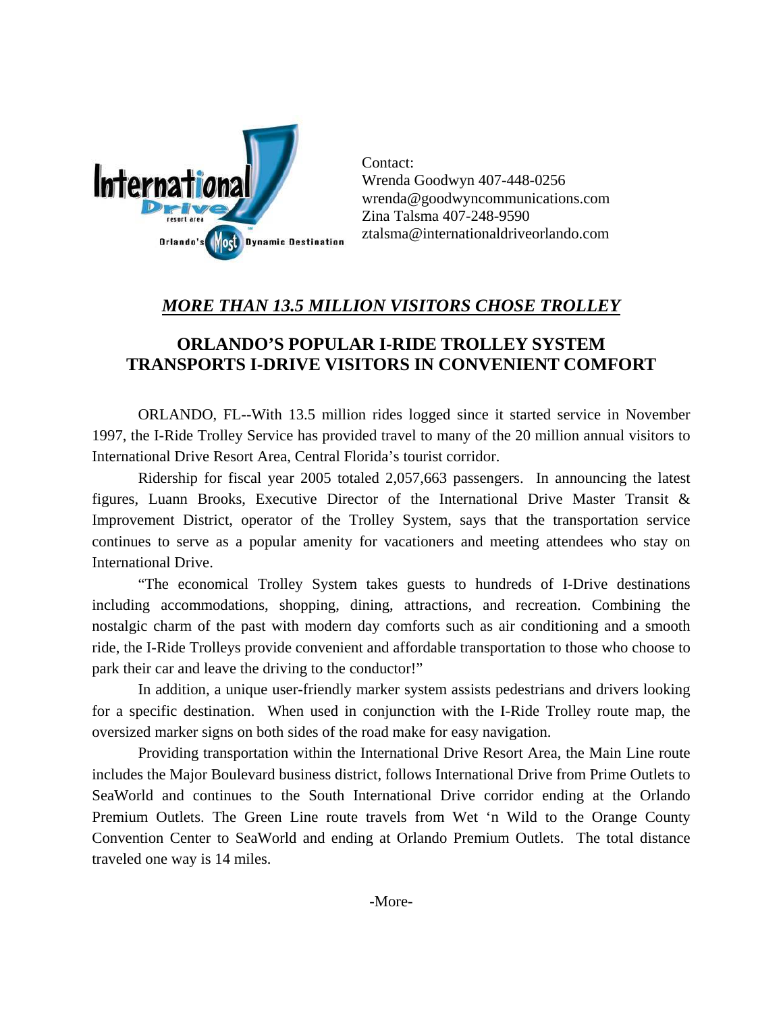

Contact: Wrenda Goodwyn 407-448-0256 wrenda@goodwyncommunications.com Zina Talsma 407-248-9590 ztalsma@internationaldriveorlando.com

## *MORE THAN 13.5 MILLION VISITORS CHOSE TROLLEY*

## **ORLANDO'S POPULAR I-RIDE TROLLEY SYSTEM TRANSPORTS I-DRIVE VISITORS IN CONVENIENT COMFORT**

ORLANDO, FL--With 13.5 million rides logged since it started service in November 1997, the I-Ride Trolley Service has provided travel to many of the 20 million annual visitors to International Drive Resort Area, Central Florida's tourist corridor.

Ridership for fiscal year 2005 totaled 2,057,663 passengers. In announcing the latest figures, Luann Brooks, Executive Director of the International Drive Master Transit & Improvement District, operator of the Trolley System, says that the transportation service continues to serve as a popular amenity for vacationers and meeting attendees who stay on International Drive.

"The economical Trolley System takes guests to hundreds of I-Drive destinations including accommodations, shopping, dining, attractions, and recreation. Combining the nostalgic charm of the past with modern day comforts such as air conditioning and a smooth ride, the I-Ride Trolleys provide convenient and affordable transportation to those who choose to park their car and leave the driving to the conductor!"

In addition, a unique user-friendly marker system assists pedestrians and drivers looking for a specific destination. When used in conjunction with the I-Ride Trolley route map, the oversized marker signs on both sides of the road make for easy navigation.

Providing transportation within the International Drive Resort Area, the Main Line route includes the Major Boulevard business district, follows International Drive from Prime Outlets to SeaWorld and continues to the South International Drive corridor ending at the Orlando Premium Outlets. The Green Line route travels from Wet 'n Wild to the Orange County Convention Center to SeaWorld and ending at Orlando Premium Outlets. The total distance traveled one way is 14 miles.